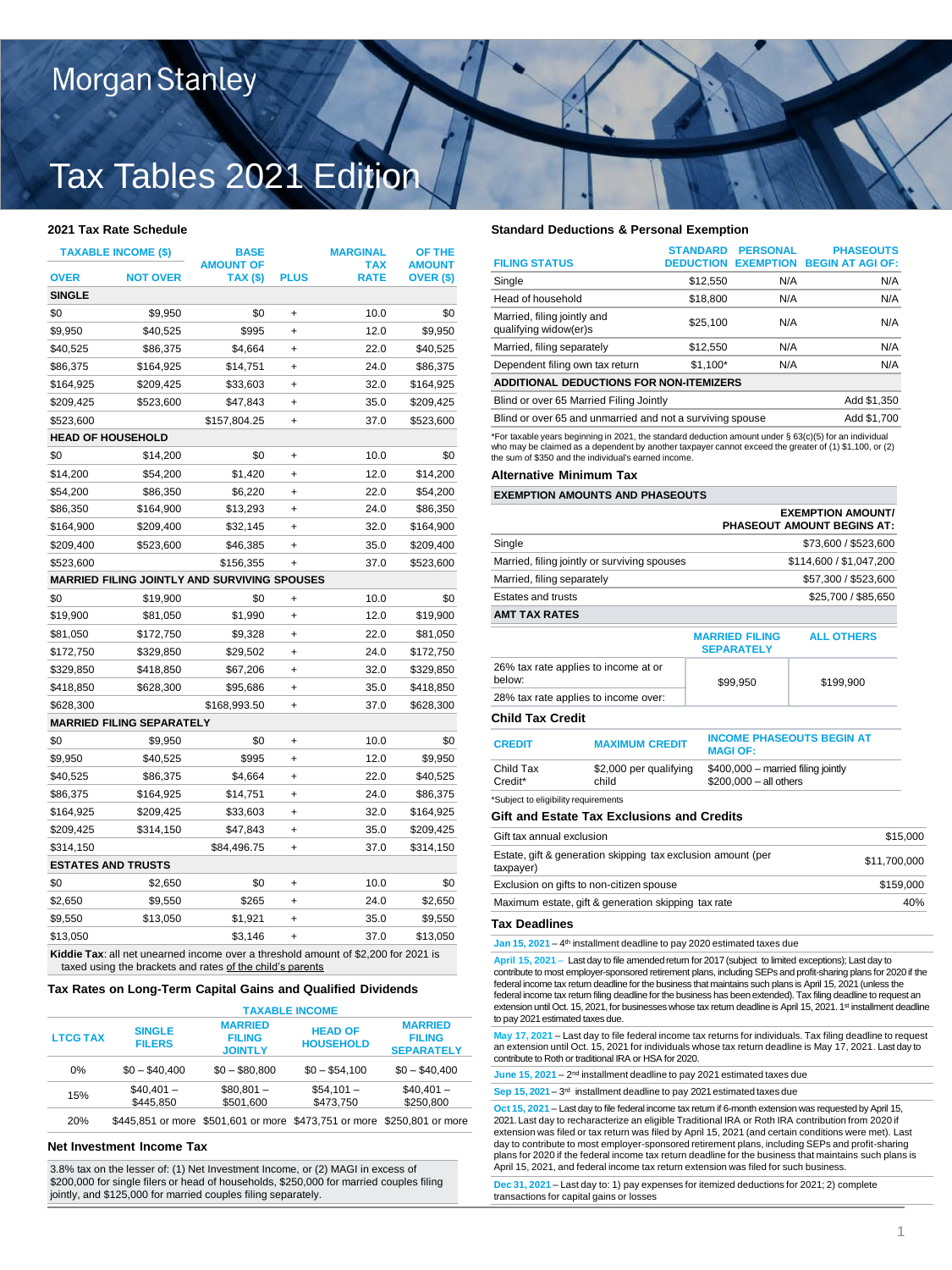## Morgan Stanley

# Tax Tables 2021 Edition

| <b>TAXABLE INCOME (\$)</b> |                                  | <b>BASE</b>                                                                        |             | <b>MARGINAL</b>           | OF THE                     |
|----------------------------|----------------------------------|------------------------------------------------------------------------------------|-------------|---------------------------|----------------------------|
| OVER                       | <b>NOT OVER</b>                  | <b>AMOUNT OF</b><br><b>TAX (\$)</b>                                                | <b>PLUS</b> | <b>TAX</b><br><b>RATE</b> | <b>AMOUNT</b><br>OVER (\$) |
| <b>SINGLE</b>              |                                  |                                                                                    |             |                           |                            |
| \$0                        | \$9,950                          | \$0                                                                                | $\ddot{}$   | 10.0                      | \$0                        |
| \$9,950                    | \$40,525                         | \$995                                                                              | +           | 12.0                      | \$9,950                    |
| \$40,525                   | \$86,375                         | \$4,664                                                                            | $\ddot{}$   | 22.0                      | \$40,525                   |
| \$86,375                   | \$164,925                        | \$14,751                                                                           | +           | 24.0                      | \$86,375                   |
| \$164,925                  | \$209,425                        | \$33,603                                                                           | $\ddot{}$   | 32.0                      | \$164,925                  |
| \$209,425                  | \$523,600                        | \$47,843                                                                           | $\ddot{}$   | 35.0                      | \$209,425                  |
| \$523,600                  |                                  | \$157,804.25                                                                       | $\ddot{}$   | 37.0                      | \$523,600                  |
| <b>HEAD OF HOUSEHOLD</b>   |                                  |                                                                                    |             |                           |                            |
| \$0                        | \$14,200                         | \$0                                                                                | $\ddot{}$   | 10.0                      | \$0                        |
| \$14,200                   | \$54,200                         | \$1,420                                                                            | $\ddot{}$   | 12.0                      | \$14,200                   |
| \$54,200                   | \$86,350                         | \$6,220                                                                            | +           | 22.0                      | \$54,200                   |
| \$86,350                   | \$164,900                        | \$13,293                                                                           | $\ddot{}$   | 24.0                      | \$86,350                   |
| \$164,900                  | \$209,400                        | \$32,145                                                                           | +           | 32.0                      | \$164,900                  |
| \$209,400                  | \$523,600                        | \$46,385                                                                           | $\ddot{}$   | 35.0                      | \$209,400                  |
| \$523,600                  |                                  | \$156,355                                                                          | +           | 37.0                      | \$523,600                  |
|                            |                                  | MARRIED FILING JOINTLY AND SURVIVING SPOUSES                                       |             |                           |                            |
| \$0                        | \$19,900                         | \$0                                                                                | +           | 10.0                      | \$0                        |
| \$19,900                   | \$81,050                         | \$1,990                                                                            | $\ddot{}$   | 12.0                      | \$19,900                   |
| \$81,050                   | \$172,750                        | \$9,328                                                                            | $\ddot{}$   | 22.0                      | \$81,050                   |
| \$172,750                  | \$329,850                        | \$29,502                                                                           | +           | 24.0                      | \$172,750                  |
| \$329,850                  | \$418,850                        | \$67,206                                                                           | $\ddot{}$   | 32.0                      | \$329,850                  |
| \$418,850                  | \$628,300                        | \$95,686                                                                           | +           | 35.0                      | \$418,850                  |
| \$628,300                  |                                  | \$168,993.50                                                                       | +           | 37.0                      | \$628,300                  |
|                            | <b>MARRIED FILING SEPARATELY</b> |                                                                                    |             |                           |                            |
| \$0                        | \$9,950                          | \$0                                                                                | +           | 10.0                      | \$0                        |
| \$9,950                    | \$40,525                         | \$995                                                                              | +           | 12.0                      | \$9,950                    |
| \$40,525                   | \$86,375                         | \$4,664                                                                            | +           | 22.0                      | \$40,525                   |
| \$86,375                   | \$164,925                        | \$14,751                                                                           | $\ddot{}$   | 24.0                      | \$86,375                   |
| \$164,925                  | \$209,425                        | \$33,603                                                                           | +           | 32.0                      | \$164,925                  |
| \$209,425                  | \$314,150                        | \$47,843                                                                           | $\ddot{}$   | 35.0                      | \$209,425                  |
| \$314,150                  |                                  | \$84,496.75                                                                        | $\ddot{}$   | 37.0                      | \$314,150                  |
| <b>ESTATES AND TRUSTS</b>  |                                  |                                                                                    |             |                           |                            |
| \$0                        | \$2,650                          | \$0                                                                                | $\ddot{}$   | 10.0                      | \$0                        |
| \$2,650                    | \$9,550                          | \$265                                                                              | $\ddot{}$   | 24.0                      | \$2,650                    |
| \$9,550                    | \$13,050                         | \$1,921                                                                            | +           | 35.0                      | \$9,550                    |
| \$13,050                   |                                  | \$3,146                                                                            | $\ddot{}$   | 37.0                      | \$13,050                   |
|                            |                                  | Kiddie Tax: all net unearned income over a threshold amount of \$2,200 for 2021 is |             |                           |                            |

taxed using the brackets and rates of the child's parents

### **Tax Rates on Long-Term Capital Gains and Qualified Dividends**

|                 | <b>TAXABLE INCOME</b>          |                                                   |                                                                         |                                                      |
|-----------------|--------------------------------|---------------------------------------------------|-------------------------------------------------------------------------|------------------------------------------------------|
| <b>LTCG TAX</b> | <b>SINGLE</b><br><b>FILERS</b> | <b>MARRIED</b><br><b>FILING</b><br><b>JOINTLY</b> | <b>HEAD OF</b><br><b>HOUSEHOLD</b>                                      | <b>MARRIED</b><br><b>FILING</b><br><b>SEPARATELY</b> |
| 0%              | $$0 - $40.400$                 | $$0 - $80.800$                                    | $$0 - $54.100$                                                          | $$0 - $40.400$                                       |
| 15%             | $$40.401 -$<br>\$445.850       | $$80.801 -$<br>\$501.600                          | $$54.101 -$<br>\$473.750                                                | $$40.401 -$<br>\$250,800                             |
| 20%             |                                |                                                   | \$445,851 or more \$501,601 or more \$473,751 or more \$250,801 or more |                                                      |

### **Net Investment Income Tax**

3.8% tax on the lesser of: (1) Net Investment Income, or (2) MAGI in excess of \$200,000 for single filers or head of households, \$250,000 for married couples filing jointly, and \$125,000 for married couples filing separately.

### **2021 Tax Rate Schedule Standard Deductions & Personal Exemption**

|                                                                                                                                                                                                                                                                          | <b>STANDARD</b>  | <b>PERSONAL</b>  | <b>PHASEOUTS</b>        |
|--------------------------------------------------------------------------------------------------------------------------------------------------------------------------------------------------------------------------------------------------------------------------|------------------|------------------|-------------------------|
| <b>FILING STATUS</b>                                                                                                                                                                                                                                                     | <b>DEDUCTION</b> | <b>EXEMPTION</b> | <b>BEGIN AT AGI OF:</b> |
| Single                                                                                                                                                                                                                                                                   | \$12,550         | N/A              | N/A                     |
| Head of household                                                                                                                                                                                                                                                        | \$18,800         | N/A              | N/A                     |
| Married, filing jointly and<br>qualifying widow(er)s                                                                                                                                                                                                                     | \$25.100         | N/A              | N/A                     |
| Married, filing separately                                                                                                                                                                                                                                               | \$12,550         | N/A              | N/A                     |
| Dependent filing own tax return                                                                                                                                                                                                                                          | $$1.100*$        | N/A              | N/A                     |
| <b>ADDITIONAL DEDUCTIONS FOR NON-ITEMIZERS</b>                                                                                                                                                                                                                           |                  |                  |                         |
| Blind or over 65 Married Filing Jointly                                                                                                                                                                                                                                  |                  |                  | Add \$1,350             |
| Blind or over 65 and unmarried and not a surviving spouse<br>Add \$1,700                                                                                                                                                                                                 |                  |                  |                         |
| *For taxable years beginning in 2021, the standard deduction amount under § 63(c)(5) for an individual<br>who may be claimed as a dependent by another taxpayer cannot exceed the greater of (1) \$1,100, or (2)<br>the sum of \$350 and the individual's earned income. |                  |                  |                         |

### **Alternative Minimum Tax**

### **EXEMPTION AMOUNTS AND PHASEOUTS**

|                                                     |                                                                                                                                                                                                                                                                                                                                                                                                                                                             |                                                                | <b>EXEMPTION AMOUNT/</b><br>PHASEOUT AMOUNT BEGINS AT: |           |
|-----------------------------------------------------|-------------------------------------------------------------------------------------------------------------------------------------------------------------------------------------------------------------------------------------------------------------------------------------------------------------------------------------------------------------------------------------------------------------------------------------------------------------|----------------------------------------------------------------|--------------------------------------------------------|-----------|
| Single                                              |                                                                                                                                                                                                                                                                                                                                                                                                                                                             |                                                                | \$73,600 / \$523,600                                   |           |
|                                                     | Married, filing jointly or surviving spouses                                                                                                                                                                                                                                                                                                                                                                                                                |                                                                | \$114,600 / \$1,047,200                                |           |
| Married, filing separately                          |                                                                                                                                                                                                                                                                                                                                                                                                                                                             |                                                                | \$57,300 / \$523,600                                   |           |
| Estates and trusts                                  |                                                                                                                                                                                                                                                                                                                                                                                                                                                             |                                                                | \$25,700 / \$85,650                                    |           |
| <b>AMT TAX RATES</b>                                |                                                                                                                                                                                                                                                                                                                                                                                                                                                             |                                                                |                                                        |           |
|                                                     |                                                                                                                                                                                                                                                                                                                                                                                                                                                             | <b>MARRIED FILING</b><br><b>SEPARATELY</b>                     | <b>ALL OTHERS</b>                                      |           |
| below:                                              | 26% tax rate applies to income at or                                                                                                                                                                                                                                                                                                                                                                                                                        | \$99,950                                                       | \$199,900                                              |           |
|                                                     | 28% tax rate applies to income over:                                                                                                                                                                                                                                                                                                                                                                                                                        |                                                                |                                                        |           |
| Child Tax Credit                                    |                                                                                                                                                                                                                                                                                                                                                                                                                                                             |                                                                |                                                        |           |
| <b>CREDIT</b>                                       | <b>MAXIMUM CREDIT</b>                                                                                                                                                                                                                                                                                                                                                                                                                                       | <b>MAGI OF:</b>                                                | <b>INCOME PHASEOUTS BEGIN AT</b>                       |           |
| Child Tax<br>Credit*                                | \$2,000 per qualifying<br>child                                                                                                                                                                                                                                                                                                                                                                                                                             | $$400,000$ - married filing jointly<br>$$200.000 - all others$ |                                                        |           |
| *Subject to eligibility requirements                |                                                                                                                                                                                                                                                                                                                                                                                                                                                             |                                                                |                                                        |           |
|                                                     | Gift and Estate Tax Exclusions and Credits                                                                                                                                                                                                                                                                                                                                                                                                                  |                                                                |                                                        |           |
| Gift tax annual exclusion                           |                                                                                                                                                                                                                                                                                                                                                                                                                                                             |                                                                |                                                        | \$15,000  |
| taxpayer)                                           | Estate, gift & generation skipping tax exclusion amount (per                                                                                                                                                                                                                                                                                                                                                                                                |                                                                | \$11,700,000                                           |           |
|                                                     | Exclusion on gifts to non-citizen spouse                                                                                                                                                                                                                                                                                                                                                                                                                    |                                                                |                                                        | \$159,000 |
| Maximum estate, gift & generation skipping tax rate |                                                                                                                                                                                                                                                                                                                                                                                                                                                             |                                                                |                                                        | 40%       |
| <b>Tax Deadlines</b>                                |                                                                                                                                                                                                                                                                                                                                                                                                                                                             |                                                                |                                                        |           |
|                                                     | Jan 15, 2021 - 4 <sup>th</sup> installment deadline to pay 2020 estimated taxes due                                                                                                                                                                                                                                                                                                                                                                         |                                                                |                                                        |           |
|                                                     | April 15, 2021 - Last day to file amended retum for 2017 (subject to limited exceptions); Last day to<br>contribute to most employer-sponsored retirement plans, including SEPs and profit-sharing plans for 2020 if the<br>federal income tax return deadline for the business that maintains such plans is April 15, 2021 (unless the<br>federal income tax return filing deadline for the business has been extended). Tax filing deadline to request an |                                                                |                                                        |           |

extension until Oct. 15, 2021, for businesses whose tax return deadline is April 15, 2021. 1st installment deadline to pay 2021 estimated taxes due.

**May 17, 2021** – Last day to file federal income tax returns for individuals. Tax filing deadline to request an extension until Oct. 15, 2021 for individuals whose tax return deadline is May 17, 2021. Last day to contribute to Roth or traditional IRA or HSA for 2020.

June 15, 2021 - 2<sup>nd</sup> installment deadline to pay 2021 estimated taxes due

**Sep 15, 2021** – 3 rd installment deadline to pay 2021 estimated taxes due

**Oct 15, 2021** – Last day to file federal income tax return if 6-month extension was requested by April 15, 2021. Last day to recharacterize an eligible Traditional IRA or Roth IRA contribution from 2020 if extension was filed or tax return was filed by April 15, 2021 (and certain conditions were met). Last day to contribute to most employer-sponsored retirement plans, including SEPs and profit-sharing plans for 2020 if the federal income tax return deadline for the business that maintains such plans is April 15, 2021, and federal income tax return extension was filed for such business.

**Dec 31, 2021** – Last day to: 1) pay expenses for itemized deductions for 2021; 2) complete transactions for capital gains or losses